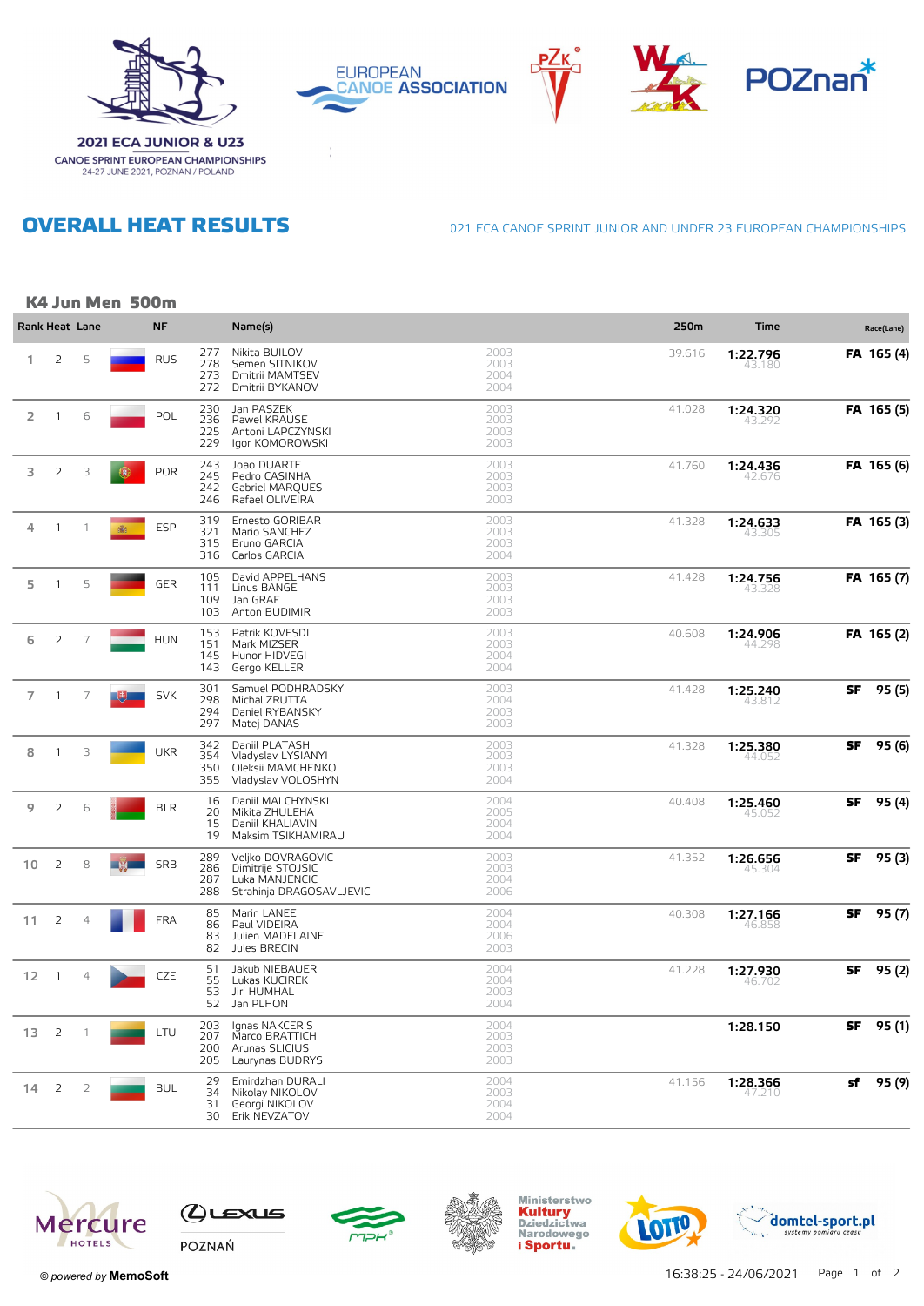









**OVERALL HEAT RESULTS** 

**CANOE SPRINT EUROPEAN CHAMPIONSHIPS**<br>24-27 JUNE 2021, POZNAN / POLAND

021 ECA CANOE SPRINT JUNIOR AND UNDER 23 EUROPEAN CHAMPIONSHIPS

## K4 Jun Men 500m

| Rank Heat Lane    |                |                |          | <b>NF</b>  |                          | Name(s)                                                                              |                              | 250m   | <b>Time</b>        |    | Race(Lane) |
|-------------------|----------------|----------------|----------|------------|--------------------------|--------------------------------------------------------------------------------------|------------------------------|--------|--------------------|----|------------|
| 1                 | 2              | 5              |          | <b>RUS</b> | 277<br>278<br>273<br>272 | Nikita BUILOV<br>Semen SITNIKOV<br>Dmitrii MAMTSEV<br>Dmitrii BYKANOV                | 2003<br>2003<br>2004<br>2004 | 39.616 | 1:22.796<br>43.180 |    | FA 165 (4) |
| 2                 | 1              | 6              |          | POL        | 230<br>236<br>225<br>229 | Jan PASZEK<br>Pawel KRAUSE<br>Antoni LAPCZYNSKI<br>Igor KOMOROWSKI                   | 2003<br>2003<br>2003<br>2003 | 41.028 | 1:24.320           |    | FA 165 (5) |
| 3                 | $\overline{2}$ | 3              | <b>G</b> | <b>POR</b> | 243<br>245<br>242<br>246 | Joao DUARTE<br>Pedro CASINHA<br>Gabriel MAROUES<br>Rafael OLIVEIRA                   | 2003<br>2003<br>2003<br>2003 | 41.760 | 1:24.436<br>42.676 |    | FA 165 (6) |
| 4                 | $\mathbf{1}$   | $\overline{1}$ | 高        | ESP        | 319<br>321<br>315<br>316 | Ernesto GORIBAR<br>Mario SANCHEZ<br>Bruno GARCIA<br>Carlos GARCIA                    | 2003<br>2003<br>2003<br>2004 | 41.328 | 1:24.633<br>43.305 |    | FA 165 (3) |
| 5                 | $\mathbf{1}$   | 5              |          | GER        | 105<br>111<br>109<br>103 | David APPELHANS<br>Linus BANGE<br>Jan GRAF<br>Anton BUDIMIR                          | 2003<br>2003<br>2003<br>2003 | 41.428 | 1:24.756<br>43.328 |    | FA 165 (7) |
| 6                 | 2              | 7              |          | <b>HUN</b> | 153<br>151<br>145<br>143 | Patrik KOVESDI<br>Mark MIZSER<br>Hunor HIDVEGI<br>Gergo KELLER                       | 2003<br>2003<br>2004<br>2004 | 40.608 | 1:24.906<br>44.298 |    | FA 165 (2) |
| $\overline{7}$    | -1             | $\overline{7}$ |          | <b>SVK</b> | 301<br>298<br>294<br>297 | Samuel PODHRADSKY<br>Michal ZRUTTA<br>Daniel RYBANSKY<br>Matej DANAS                 | 2003<br>2004<br>2003<br>2003 | 41.428 | 1:25.240<br>43.81  | SF | 95 (5)     |
| 8                 | $\mathbf{1}$   | 3              |          | <b>UKR</b> | 342<br>354<br>350<br>355 | Daniil PLATASH<br>Vladyslav LYSIANYI<br>Oleksii MAMCHENKO<br>Vladyslav VOLOSHYN      | 2003<br>2003<br>2003<br>2004 | 41.328 | 1:25.380<br>44.052 | SF | 95 (6)     |
| 9                 | 2              | 6              |          | <b>BLR</b> | 16<br>20<br>15<br>19     | Daniil MALCHYNSKI<br>Mikita ZHULEHA<br>Daniil KHALIAVIN<br>Maksim TSIKHAMIRAU        | 2004<br>2005<br>2004<br>2004 | 40.408 | 1:25.460<br>45.052 | SF | 95 (4)     |
| 10 <sup>°</sup>   | 2              | 8              |          | <b>SRB</b> | 289<br>286<br>287<br>288 | Veljko DOVRAGOVIC<br>Dimitrije STOJSIC<br>Luka MANJENCIC<br>Strahinja DRAGOSAVLJEVIC | 2003<br>2003<br>2004<br>2006 | 41.352 | 1:26.656<br>45.304 | SF | 95 (3)     |
| 11                | $\overline{2}$ | $\overline{4}$ |          | <b>FRA</b> | 85<br>86<br>83<br>82     | Marin LANEE<br>Paul VIDEIRA<br>Julien MADELAINE<br>Jules BRECIN                      | 2004<br>2004<br>2006<br>2003 | 40.308 | 1:27.166<br>46.858 | SF | 95 (7)     |
| $12 \overline{ }$ | $\overline{1}$ | $\overline{4}$ |          | CZE        | 51<br>55<br>53<br>52     | Jakub NIEBAUER<br>Lukas KUCIREK<br>Jiri HUMHAL<br>Jan PLHON                          | 2004<br>2004<br>2003<br>2004 | 41.228 | 1:27.930<br>46.702 | SF | 95 (2)     |
| 13                | 2              | -1             |          | LTU        | 203<br>207<br>200<br>205 | lanas NAKCERIS<br>Marco BRATTICH<br>Arunas SLICIUS<br>Laurynas BUDRYS                | 2004<br>2003<br>2003<br>2003 |        | 1:28.150           | SF | 95 (1)     |
| 14                | 2              | 2              |          | <b>BUL</b> | 29<br>34<br>31<br>30     | Emirdzhan DURALI<br>Nikolay NIKOLOV<br>Georgi NIKOLOV<br>Erik NEVZATOV               | 2004<br>2003<br>2004<br>2004 | 41.156 | 1:28.366<br>47.21  | sf | 95 (9)     |